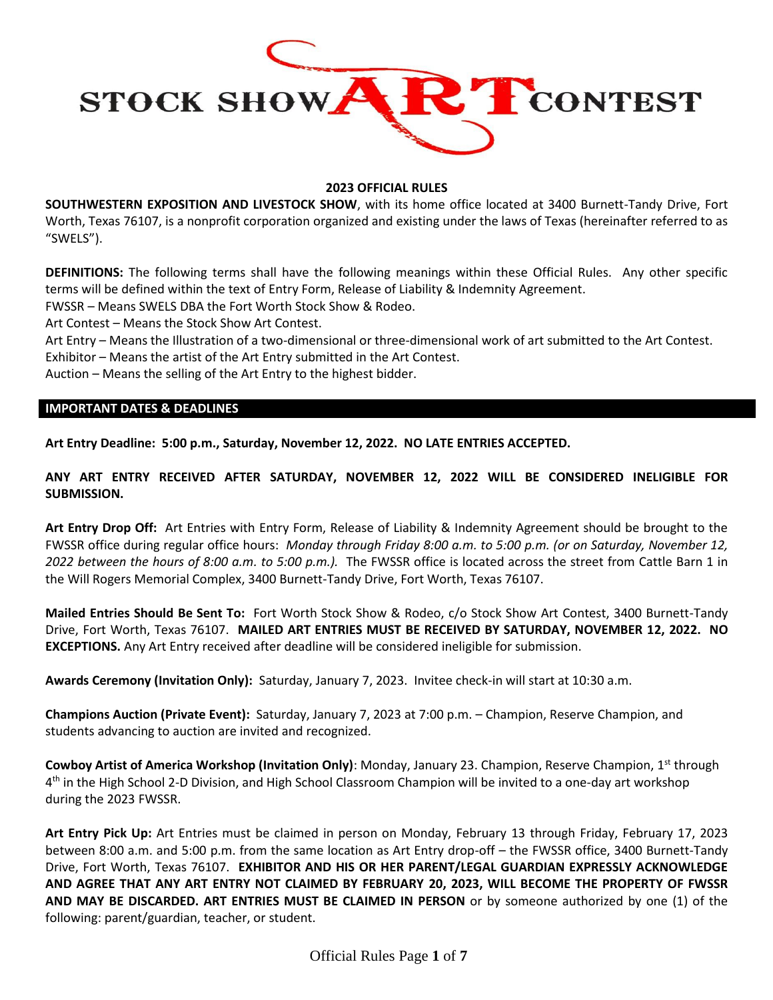

## **2023 OFFICIAL RULES**

**SOUTHWESTERN EXPOSITION AND LIVESTOCK SHOW**, with its home office located at 3400 Burnett-Tandy Drive, Fort Worth, Texas 76107, is a nonprofit corporation organized and existing under the laws of Texas (hereinafter referred to as "SWELS").

**DEFINITIONS:** The following terms shall have the following meanings within these Official Rules. Any other specific terms will be defined within the text of Entry Form, Release of Liability & Indemnity Agreement.

FWSSR – Means SWELS DBA the Fort Worth Stock Show & Rodeo.

Art Contest – Means the Stock Show Art Contest.

Art Entry – Means the Illustration of a two-dimensional or three-dimensional work of art submitted to the Art Contest.

Exhibitor – Means the artist of the Art Entry submitted in the Art Contest.

Auction – Means the selling of the Art Entry to the highest bidder.

### **IMPORTANT DATES & DEADLINES**

**Art Entry Deadline: 5:00 p.m., Saturday, November 12, 2022. NO LATE ENTRIES ACCEPTED.**

**ANY ART ENTRY RECEIVED AFTER SATURDAY, NOVEMBER 12, 2022 WILL BE CONSIDERED INELIGIBLE FOR SUBMISSION.**

**Art Entry Drop Off:** Art Entries with Entry Form, Release of Liability & Indemnity Agreement should be brought to the FWSSR office during regular office hours: *Monday through Friday 8:00 a.m. to 5:00 p.m. (or on Saturday, November 12, 2022 between the hours of 8:00 a.m. to 5:00 p.m.).* The FWSSR office is located across the street from Cattle Barn 1 in the Will Rogers Memorial Complex, 3400 Burnett-Tandy Drive, Fort Worth, Texas 76107.

**Mailed Entries Should Be Sent To:** Fort Worth Stock Show & Rodeo, c/o Stock Show Art Contest, 3400 Burnett-Tandy Drive, Fort Worth, Texas 76107. **MAILED ART ENTRIES MUST BE RECEIVED BY SATURDAY, NOVEMBER 12, 2022. NO EXCEPTIONS.** Any Art Entry received after deadline will be considered ineligible for submission.

**Awards Ceremony (Invitation Only):** Saturday, January 7, 2023. Invitee check-in will start at 10:30 a.m.

**Champions Auction (Private Event):** Saturday, January 7, 2023 at 7:00 p.m. – Champion, Reserve Champion, and students advancing to auction are invited and recognized.

Cowboy Artist of America Workshop (Invitation Only): Monday, January 23. Champion, Reserve Champion, 1<sup>st</sup> through 4<sup>th</sup> in the High School 2-D Division, and High School Classroom Champion will be invited to a one-day art workshop during the 2023 FWSSR.

**Art Entry Pick Up:** Art Entries must be claimed in person on Monday, February 13 through Friday, February 17, 2023 between 8:00 a.m. and 5:00 p.m. from the same location as Art Entry drop-off – the FWSSR office, 3400 Burnett-Tandy Drive, Fort Worth, Texas 76107. **EXHIBITOR AND HIS OR HER PARENT/LEGAL GUARDIAN EXPRESSLY ACKNOWLEDGE AND AGREE THAT ANY ART ENTRY NOT CLAIMED BY FEBRUARY 20, 2023, WILL BECOME THE PROPERTY OF FWSSR AND MAY BE DISCARDED. ART ENTRIES MUST BE CLAIMED IN PERSON** or by someone authorized by one (1) of the following: parent/guardian, teacher, or student.

Official Rules Page **1** of **7**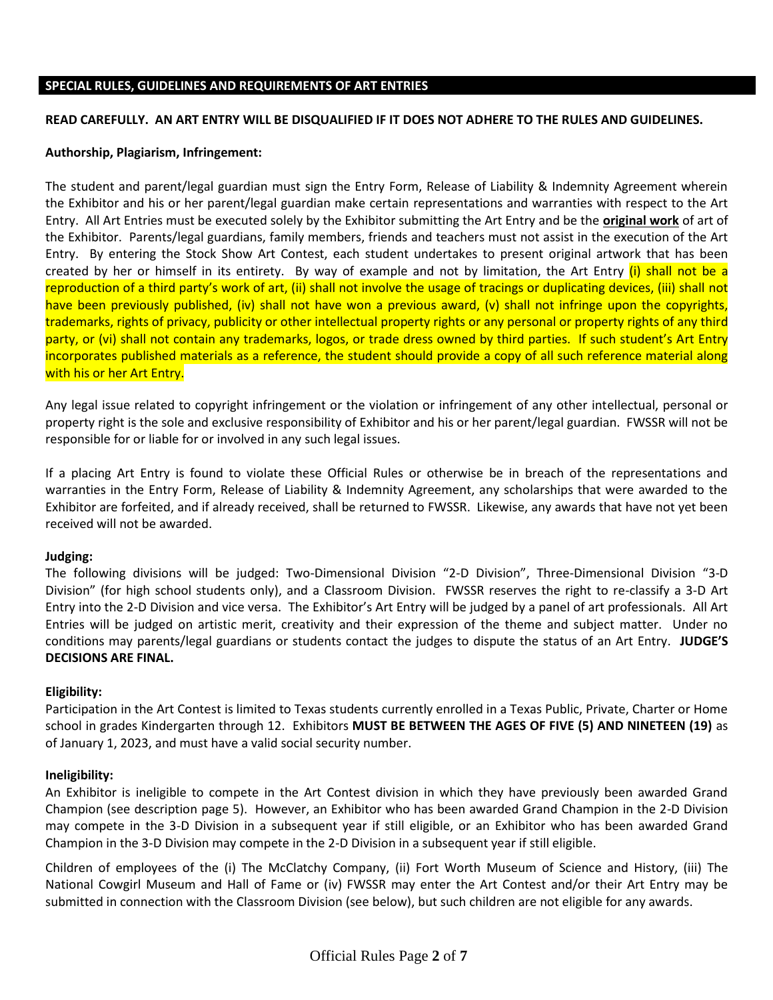### **SPECIAL RULES, GUIDELINES AND REQUIREMENTS OF ART ENTRIES**

#### **READ CAREFULLY. AN ART ENTRY WILL BE DISQUALIFIED IF IT DOES NOT ADHERE TO THE RULES AND GUIDELINES.**

#### **Authorship, Plagiarism, Infringement:**

The student and parent/legal guardian must sign the Entry Form, Release of Liability & Indemnity Agreement wherein the Exhibitor and his or her parent/legal guardian make certain representations and warranties with respect to the Art Entry. All Art Entries must be executed solely by the Exhibitor submitting the Art Entry and be the **original work** of art of the Exhibitor. Parents/legal guardians, family members, friends and teachers must not assist in the execution of the Art Entry. By entering the Stock Show Art Contest, each student undertakes to present original artwork that has been created by her or himself in its entirety. By way of example and not by limitation, the Art Entry (i) shall not be a reproduction of a third party's work of art, (ii) shall not involve the usage of tracings or duplicating devices, (iii) shall not have been previously published, (iv) shall not have won a previous award, (v) shall not infringe upon the copyrights, trademarks, rights of privacy, publicity or other intellectual property rights or any personal or property rights of any third party, or (vi) shall not contain any trademarks, logos, or trade dress owned by third parties. If such student's Art Entry incorporates published materials as a reference, the student should provide a copy of all such reference material along with his or her Art Entry.

Any legal issue related to copyright infringement or the violation or infringement of any other intellectual, personal or property right is the sole and exclusive responsibility of Exhibitor and his or her parent/legal guardian. FWSSR will not be responsible for or liable for or involved in any such legal issues.

If a placing Art Entry is found to violate these Official Rules or otherwise be in breach of the representations and warranties in the Entry Form, Release of Liability & Indemnity Agreement, any scholarships that were awarded to the Exhibitor are forfeited, and if already received, shall be returned to FWSSR. Likewise, any awards that have not yet been received will not be awarded.

## **Judging:**

The following divisions will be judged: Two-Dimensional Division "2-D Division", Three-Dimensional Division "3-D Division" (for high school students only), and a Classroom Division. FWSSR reserves the right to re-classify a 3-D Art Entry into the 2-D Division and vice versa. The Exhibitor's Art Entry will be judged by a panel of art professionals. All Art Entries will be judged on artistic merit, creativity and their expression of the theme and subject matter. Under no conditions may parents/legal guardians or students contact the judges to dispute the status of an Art Entry. **JUDGE'S DECISIONS ARE FINAL.**

## **Eligibility:**

Participation in the Art Contest is limited to Texas students currently enrolled in a Texas Public, Private, Charter or Home school in grades Kindergarten through 12. Exhibitors **MUST BE BETWEEN THE AGES OF FIVE (5) AND NINETEEN (19)** as of January 1, 2023, and must have a valid social security number.

#### **Ineligibility:**

An Exhibitor is ineligible to compete in the Art Contest division in which they have previously been awarded Grand Champion (see description page 5). However, an Exhibitor who has been awarded Grand Champion in the 2-D Division may compete in the 3-D Division in a subsequent year if still eligible, or an Exhibitor who has been awarded Grand Champion in the 3-D Division may compete in the 2-D Division in a subsequent year if still eligible.

Children of employees of the (i) The McClatchy Company, (ii) Fort Worth Museum of Science and History, (iii) The National Cowgirl Museum and Hall of Fame or (iv) FWSSR may enter the Art Contest and/or their Art Entry may be submitted in connection with the Classroom Division (see below), but such children are not eligible for any awards.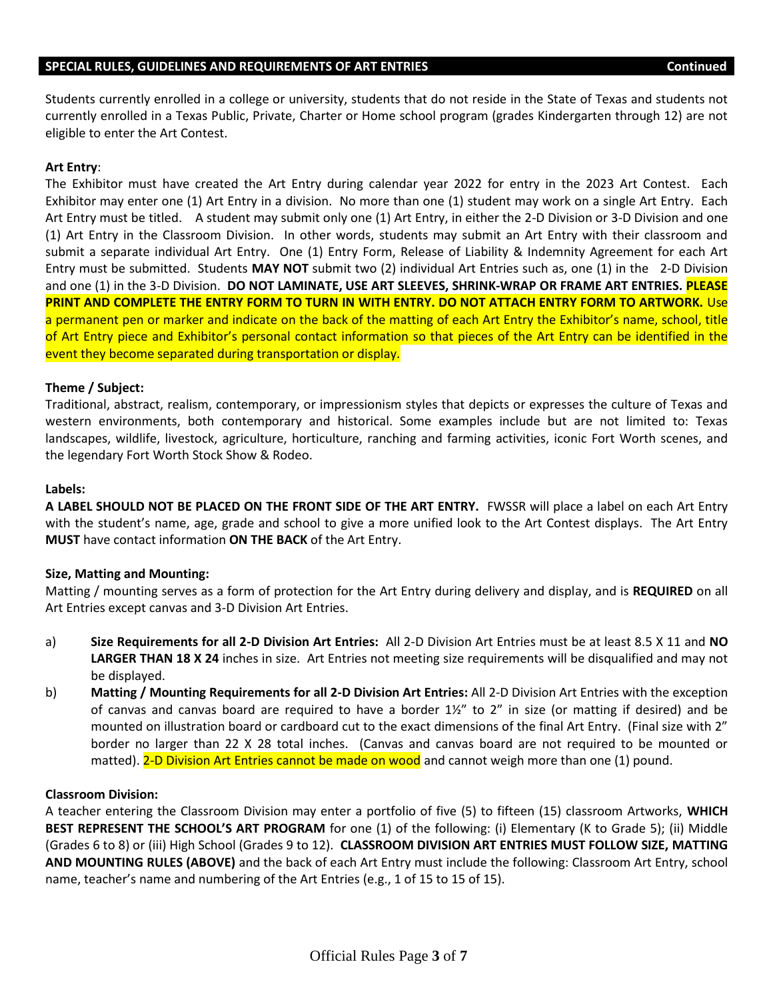### **SPECIAL RULES, GUIDELINES AND REQUIREMENTS OF ART ENTRIES Continued**

Students currently enrolled in a college or university, students that do not reside in the State of Texas and students not currently enrolled in a Texas Public, Private, Charter or Home school program (grades Kindergarten through 12) are not eligible to enter the Art Contest.

## **Art Entry**:

The Exhibitor must have created the Art Entry during calendar year 2022 for entry in the 2023 Art Contest. Each Exhibitor may enter one (1) Art Entry in a division. No more than one (1) student may work on a single Art Entry. Each Art Entry must be titled. A student may submit only one (1) Art Entry, in either the 2-D Division or 3-D Division and one (1) Art Entry in the Classroom Division. In other words, students may submit an Art Entry with their classroom and submit a separate individual Art Entry. One (1) Entry Form, Release of Liability & Indemnity Agreement for each Art Entry must be submitted. Students **MAY NOT** submit two (2) individual Art Entries such as, one (1) in the 2-D Division and one (1) in the 3-D Division. **DO NOT LAMINATE, USE ART SLEEVES, SHRINK-WRAP OR FRAME ART ENTRIES. PLEASE PRINT AND COMPLETE THE ENTRY FORM TO TURN IN WITH ENTRY. DO NOT ATTACH ENTRY FORM TO ARTWORK.** Use a permanent pen or marker and indicate on the back of the matting of each Art Entry the Exhibitor's name, school, title of Art Entry piece and Exhibitor's personal contact information so that pieces of the Art Entry can be identified in the event they become separated during transportation or display.

## **Theme / Subject:**

Traditional, abstract, realism, contemporary, or impressionism styles that depicts or expresses the culture of Texas and western environments, both contemporary and historical. Some examples include but are not limited to: Texas landscapes, wildlife, livestock, agriculture, horticulture, ranching and farming activities, iconic Fort Worth scenes, and the legendary Fort Worth Stock Show & Rodeo.

### **Labels:**

**A LABEL SHOULD NOT BE PLACED ON THE FRONT SIDE OF THE ART ENTRY.** FWSSR will place a label on each Art Entry with the student's name, age, grade and school to give a more unified look to the Art Contest displays. The Art Entry **MUST** have contact information **ON THE BACK** of the Art Entry.

## **Size, Matting and Mounting:**

Matting / mounting serves as a form of protection for the Art Entry during delivery and display, and is **REQUIRED** on all Art Entries except canvas and 3-D Division Art Entries.

- a) **Size Requirements for all 2-D Division Art Entries:** All 2-D Division Art Entries must be at least 8.5 X 11 and **NO LARGER THAN 18 X 24** inches in size. Art Entries not meeting size requirements will be disqualified and may not be displayed.
- b) **Matting / Mounting Requirements for all 2-D Division Art Entries:** All 2-D Division Art Entries with the exception of canvas and canvas board are required to have a border 1½" to 2" in size (or matting if desired) and be mounted on illustration board or cardboard cut to the exact dimensions of the final Art Entry. (Final size with 2" border no larger than 22 X 28 total inches. (Canvas and canvas board are not required to be mounted or matted). 2-D Division Art Entries cannot be made on wood and cannot weigh more than one (1) pound.

## **Classroom Division:**

A teacher entering the Classroom Division may enter a portfolio of five (5) to fifteen (15) classroom Artworks, **WHICH BEST REPRESENT THE SCHOOL'S ART PROGRAM** for one (1) of the following: (i) Elementary (K to Grade 5); (ii) Middle (Grades 6 to 8) or (iii) High School (Grades 9 to 12). **CLASSROOM DIVISION ART ENTRIES MUST FOLLOW SIZE, MATTING AND MOUNTING RULES (ABOVE)** and the back of each Art Entry must include the following: Classroom Art Entry, school name, teacher's name and numbering of the Art Entries (e.g., 1 of 15 to 15 of 15).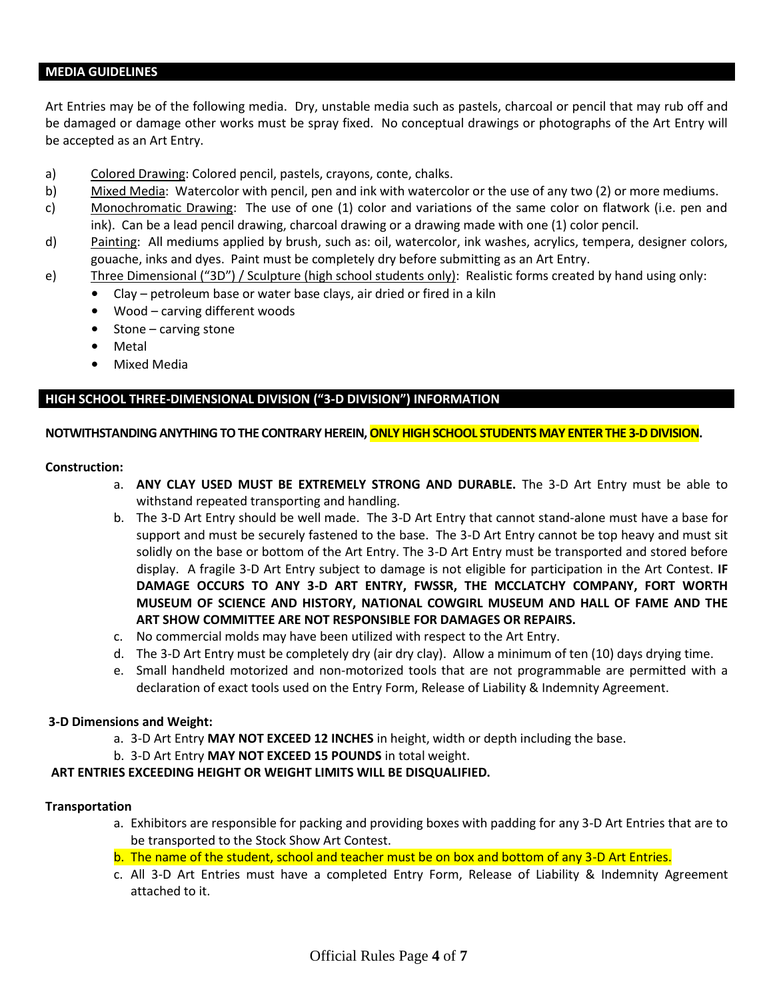#### **MEDIA GUIDELINES**

Art Entries may be of the following media. Dry, unstable media such as pastels, charcoal or pencil that may rub off and be damaged or damage other works must be spray fixed. No conceptual drawings or photographs of the Art Entry will be accepted as an Art Entry.

- a) Colored Drawing: Colored pencil, pastels, crayons, conte, chalks.
- b) Mixed Media:Watercolor with pencil, pen and ink with watercolor or the use of any two (2) or more mediums.
- c) Monochromatic Drawing: The use of one (1) color and variations of the same color on flatwork (i.e. pen and ink). Can be a lead pencil drawing, charcoal drawing or a drawing made with one (1) color pencil.
- d) Painting: All mediums applied by brush, such as: oil, watercolor, ink washes, acrylics, tempera, designer colors, gouache, inks and dyes. Paint must be completely dry before submitting as an Art Entry.
- e) Three Dimensional ("3D") / Sculpture (high school students only): Realistic forms created by hand using only:
	- Clay petroleum base or water base clays, air dried or fired in a kiln
	- Wood carving different woods
	- Stone carving stone
	- **Metal**
	- Mixed Media

# **HIGH SCHOOL THREE-DIMENSIONAL DIVISION ("3-D DIVISION") INFORMATION**

## **NOTWITHSTANDING ANYTHING TO THE CONTRARY HEREIN, ONLY HIGH SCHOOL STUDENTS MAY ENTER THE 3-D DIVISION.**

### **Construction:**

- a. **ANY CLAY USED MUST BE EXTREMELY STRONG AND DURABLE.** The 3-D Art Entry must be able to withstand repeated transporting and handling.
- b. The 3-D Art Entry should be well made. The 3-D Art Entry that cannot stand-alone must have a base for support and must be securely fastened to the base. The 3-D Art Entry cannot be top heavy and must sit solidly on the base or bottom of the Art Entry. The 3-D Art Entry must be transported and stored before display. A fragile 3-D Art Entry subject to damage is not eligible for participation in the Art Contest. **IF DAMAGE OCCURS TO ANY 3-D ART ENTRY, FWSSR, THE MCCLATCHY COMPANY, FORT WORTH MUSEUM OF SCIENCE AND HISTORY, NATIONAL COWGIRL MUSEUM AND HALL OF FAME AND THE ART SHOW COMMITTEE ARE NOT RESPONSIBLE FOR DAMAGES OR REPAIRS.**
- c. No commercial molds may have been utilized with respect to the Art Entry.
- d. The 3-D Art Entry must be completely dry (air dry clay). Allow a minimum of ten (10) days drying time.
- e. Small handheld motorized and non-motorized tools that are not programmable are permitted with a declaration of exact tools used on the Entry Form, Release of Liability & Indemnity Agreement.

## **3-D Dimensions and Weight:**

- a. 3-D Art Entry **MAY NOT EXCEED 12 INCHES** in height, width or depth including the base.
- b. 3-D Art Entry **MAY NOT EXCEED 15 POUNDS** in total weight.

## **ART ENTRIES EXCEEDING HEIGHT OR WEIGHT LIMITS WILL BE DISQUALIFIED.**

## **Transportation**

- a. Exhibitors are responsible for packing and providing boxes with padding for any 3-D Art Entries that are to be transported to the Stock Show Art Contest.
- b. The name of the student, school and teacher must be on box and bottom of any 3-D Art Entries.
- c. All 3-D Art Entries must have a completed Entry Form, Release of Liability & Indemnity Agreement attached to it.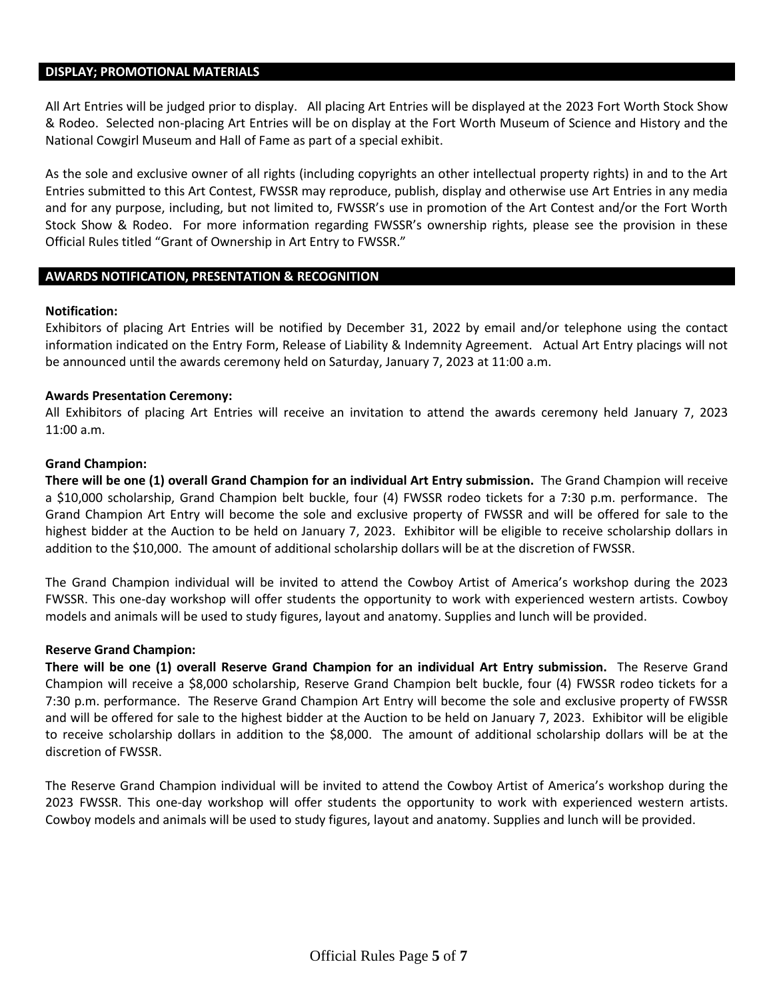#### **DISPLAY; PROMOTIONAL MATERIALS**

All Art Entries will be judged prior to display. All placing Art Entries will be displayed at the 2023 Fort Worth Stock Show & Rodeo. Selected non-placing Art Entries will be on display at the Fort Worth Museum of Science and History and the National Cowgirl Museum and Hall of Fame as part of a special exhibit.

As the sole and exclusive owner of all rights (including copyrights an other intellectual property rights) in and to the Art Entries submitted to this Art Contest, FWSSR may reproduce, publish, display and otherwise use Art Entries in any media and for any purpose, including, but not limited to, FWSSR's use in promotion of the Art Contest and/or the Fort Worth Stock Show & Rodeo. For more information regarding FWSSR's ownership rights, please see the provision in these Official Rules titled "Grant of Ownership in Art Entry to FWSSR."

### **AWARDS NOTIFICATION, PRESENTATION & RECOGNITION**

### **Notification:**

Exhibitors of placing Art Entries will be notified by December 31, 2022 by email and/or telephone using the contact information indicated on the Entry Form, Release of Liability & Indemnity Agreement. Actual Art Entry placings will not be announced until the awards ceremony held on Saturday, January 7, 2023 at 11:00 a.m.

### **Awards Presentation Ceremony:**

All Exhibitors of placing Art Entries will receive an invitation to attend the awards ceremony held January 7, 2023 11:00 a.m.

#### **Grand Champion:**

**There will be one (1) overall Grand Champion for an individual Art Entry submission.** The Grand Champion will receive a \$10,000 scholarship, Grand Champion belt buckle, four (4) FWSSR rodeo tickets for a 7:30 p.m. performance. The Grand Champion Art Entry will become the sole and exclusive property of FWSSR and will be offered for sale to the highest bidder at the Auction to be held on January 7, 2023. Exhibitor will be eligible to receive scholarship dollars in addition to the \$10,000. The amount of additional scholarship dollars will be at the discretion of FWSSR.

The Grand Champion individual will be invited to attend the Cowboy Artist of America's workshop during the 2023 FWSSR. This one-day workshop will offer students the opportunity to work with experienced western artists. Cowboy models and animals will be used to study figures, layout and anatomy. Supplies and lunch will be provided.

#### **Reserve Grand Champion:**

**There will be one (1) overall Reserve Grand Champion for an individual Art Entry submission.** The Reserve Grand Champion will receive a \$8,000 scholarship, Reserve Grand Champion belt buckle, four (4) FWSSR rodeo tickets for a 7:30 p.m. performance. The Reserve Grand Champion Art Entry will become the sole and exclusive property of FWSSR and will be offered for sale to the highest bidder at the Auction to be held on January 7, 2023. Exhibitor will be eligible to receive scholarship dollars in addition to the \$8,000. The amount of additional scholarship dollars will be at the discretion of FWSSR.

The Reserve Grand Champion individual will be invited to attend the Cowboy Artist of America's workshop during the 2023 FWSSR. This one-day workshop will offer students the opportunity to work with experienced western artists. Cowboy models and animals will be used to study figures, layout and anatomy. Supplies and lunch will be provided.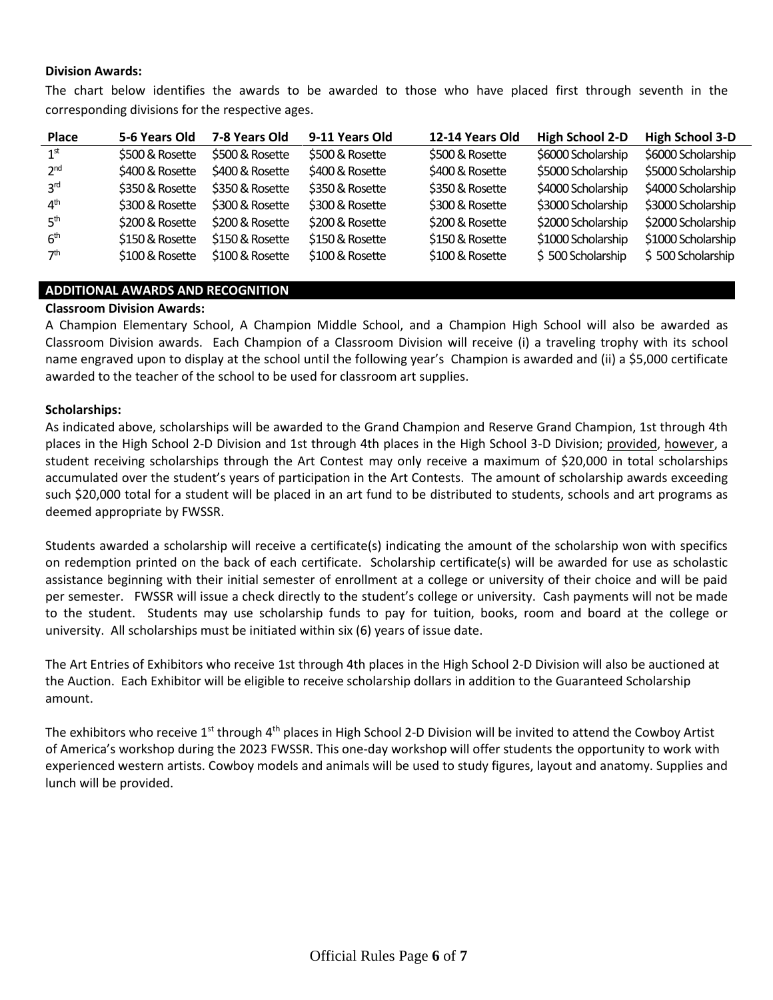### **Division Awards:**

The chart below identifies the awards to be awarded to those who have placed first through seventh in the corresponding divisions for the respective ages.

| <b>Place</b>    | 5-6 Years Old   | 7-8 Years Old   | 9-11 Years Old  | 12-14 Years Old | <b>High School 2-D</b> | <b>High School 3-D</b> |
|-----------------|-----------------|-----------------|-----------------|-----------------|------------------------|------------------------|
| 1 <sup>st</sup> | \$500 & Rosette | \$500 & Rosette | \$500 & Rosette | \$500 & Rosette | \$6000 Scholarship     | \$6000 Scholarship     |
| 2 <sub>nd</sub> | \$400 & Rosette | \$400 & Rosette | \$400 & Rosette | \$400 & Rosette | \$5000 Scholarship     | \$5000 Scholarship     |
| 3rd             | \$350 & Rosette | \$350 & Rosette | \$350 & Rosette | \$350 & Rosette | \$4000 Scholarship     | \$4000 Scholarship     |
| 4 <sup>th</sup> | \$300 & Rosette | \$300 & Rosette | \$300 & Rosette | \$300 & Rosette | \$3000 Scholarship     | \$3000 Scholarship     |
| 5 <sup>th</sup> | \$200 & Rosette | \$200 & Rosette | \$200 & Rosette | \$200 & Rosette | \$2000 Scholarship     | \$2000 Scholarship     |
| 6 <sup>th</sup> | \$150 & Rosette | \$150 & Rosette | \$150 & Rosette | \$150 & Rosette | \$1000 Scholarship     | \$1000 Scholarship     |
| 7 <sup>th</sup> | \$100 & Rosette | \$100 & Rosette | \$100 & Rosette | \$100 & Rosette | \$500 Scholarship      | \$500 Scholarship      |

## **ADDITIONAL AWARDS AND RECOGNITION**

### **Classroom Division Awards:**

A Champion Elementary School, A Champion Middle School, and a Champion High School will also be awarded as Classroom Division awards. Each Champion of a Classroom Division will receive (i) a traveling trophy with its school name engraved upon to display at the school until the following year's Champion is awarded and (ii) a \$5,000 certificate awarded to the teacher of the school to be used for classroom art supplies.

### **Scholarships:**

As indicated above, scholarships will be awarded to the Grand Champion and Reserve Grand Champion, 1st through 4th places in the High School 2-D Division and 1st through 4th places in the High School 3-D Division; provided, however, a student receiving scholarships through the Art Contest may only receive a maximum of \$20,000 in total scholarships accumulated over the student's years of participation in the Art Contests. The amount of scholarship awards exceeding such \$20,000 total for a student will be placed in an art fund to be distributed to students, schools and art programs as deemed appropriate by FWSSR.

Students awarded a scholarship will receive a certificate(s) indicating the amount of the scholarship won with specifics on redemption printed on the back of each certificate. Scholarship certificate(s) will be awarded for use as scholastic assistance beginning with their initial semester of enrollment at a college or university of their choice and will be paid per semester. FWSSR will issue a check directly to the student's college or university. Cash payments will not be made to the student. Students may use scholarship funds to pay for tuition, books, room and board at the college or university. All scholarships must be initiated within six (6) years of issue date.

The Art Entries of Exhibitors who receive 1st through 4th places in the High School 2-D Division will also be auctioned at the Auction. Each Exhibitor will be eligible to receive scholarship dollars in addition to the Guaranteed Scholarship amount.

The exhibitors who receive  $1^{st}$  through  $4^{th}$  places in High School 2-D Division will be invited to attend the Cowboy Artist of America's workshop during the 2023 FWSSR. This one-day workshop will offer students the opportunity to work with experienced western artists. Cowboy models and animals will be used to study figures, layout and anatomy. Supplies and lunch will be provided.